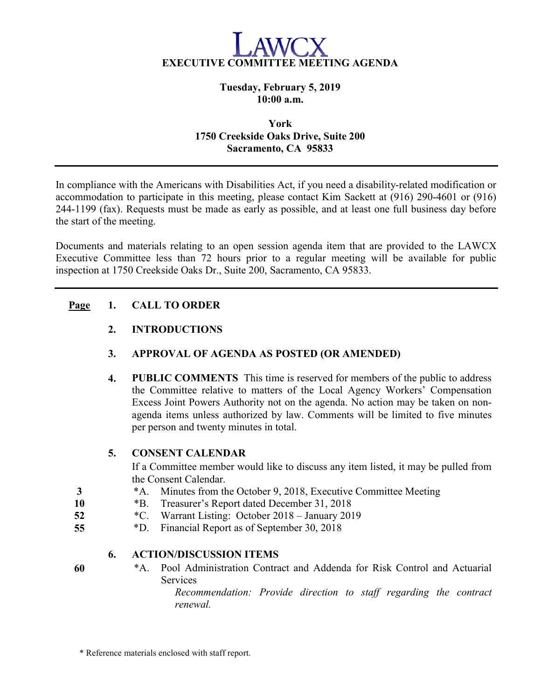

Tuesday, February 5, 2019 10:00 a.m.

# York 1750 Creekside Oaks Drive, Suite 200 Sacramento, CA 95833

In compliance with the Americans with Disabilities Act, if you need a disability-related modification or accommodation to participate in this meeting, please contact Kim Sackett at (916) 290-4601 or (916) 244-1199 (fax). Requests must be made as early as possible, and at least one full business day before the start of the meeting.

Documents and materials relating to an open session agenda item that are provided to the LAWCX Executive Committee less than 72 hours prior to a regular meeting will be available for public inspection at 1750 Creekside Oaks Dr., Suite 200, Sacramento, CA 95833.

## Page 1. CALL TO ORDER

## 2. INTRODUCTIONS

### 3. APPROVAL OF AGENDA AS POSTED (OR AMENDED)

4. PUBLIC COMMENTS This time is reserved for members of the public to address the Committee relative to matters of the Local Agency Workers' Compensation Excess Joint Powers Authority not on the agenda. No action may be taken on nonagenda items unless authorized by law. Comments will be limited to five minutes per person and twenty minutes in total.

#### 5. CONSENT CALENDAR

 If a Committee member would like to discuss any item listed, it may be pulled from the Consent Calendar.

- 3 \*A. Minutes from the October 9, 2018, Executive Committee Meeting
- 10 \*B. Treasurer's Report dated December 31, 2018
- 52 \*C. Warrant Listing: October 2018 January 2019
- 55 \*D. Financial Report as of September 30, 2018

# 6. ACTION/DISCUSSION ITEMS

60 \*A. Pool Administration Contract and Addenda for Risk Control and Actuarial Services

> Recommendation: Provide direction to staff regarding the contract renewal.

\* Reference materials enclosed with staff report.